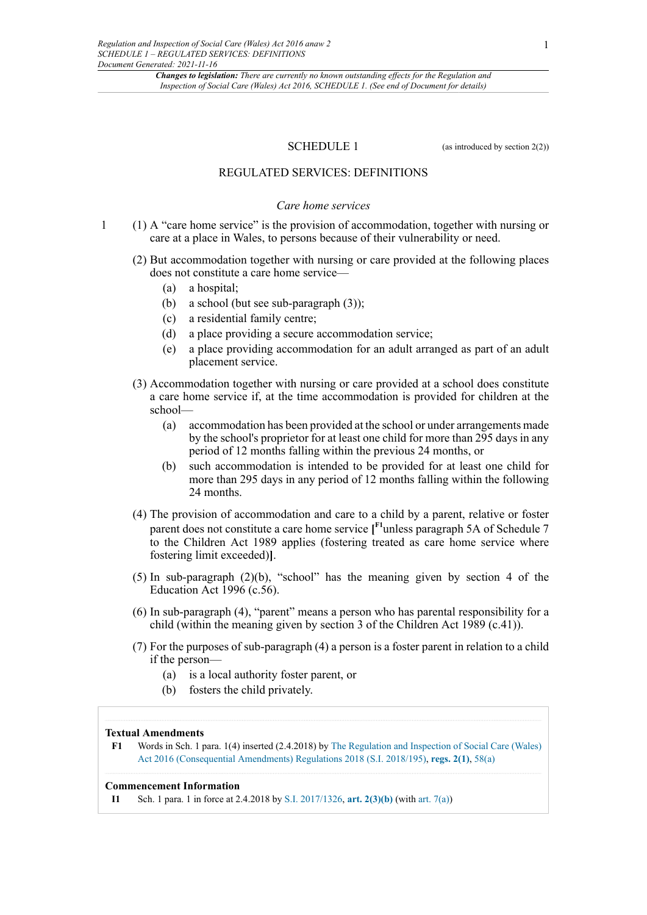SCHEDULE 1 (as introduced by section 2(2))

## REGULATED SERVICES: DEFINITIONS

### *Care home services*

- 1 (1) A "care home service" is the provision of accommodation, together with nursing or care at a place in Wales, to persons because of their vulnerability or need.
	- (2) But accommodation together with nursing or care provided at the following places does not constitute a care home service—
		- (a) a hospital;
		- (b) a school (but see sub-paragraph (3));
		- (c) a residential family centre;
		- (d) a place providing a secure accommodation service;
		- (e) a place providing accommodation for an adult arranged as part of an adult placement service.
	- (3) Accommodation together with nursing or care provided at a school does constitute a care home service if, at the time accommodation is provided for children at the school—
		- (a) accommodation has been provided at the school or under arrangements made by the school's proprietor for at least one child for more than 295 days in any period of 12 months falling within the previous 24 months, or
		- (b) such accommodation is intended to be provided for at least one child for more than 295 days in any period of 12 months falling within the following 24 months.
	- (4) The provision of accommodation and care to a child by a parent, relative or foster parent does not constitute a care home service **[ F1**unless paragraph 5A of Schedule 7 to the Children Act 1989 applies (fostering treated as care home service where fostering limit exceeded)**]**.
	- (5) In sub-paragraph (2)(b), "school" has the meaning given by section 4 of the Education Act 1996 (c.56).
	- (6) In sub-paragraph (4), "parent" means a person who has parental responsibility for a child (within the meaning given by section 3 of the Children Act 1989 (c.41)).
	- (7) For the purposes of sub-paragraph (4) a person is a foster parent in relation to a child if the person—
		- (a) is a local authority foster parent, or
		- (b) fosters the child privately.

### **Textual Amendments**

**F1** Words in Sch. 1 para. 1(4) inserted (2.4.2018) by The Regulation and Inspection of Social Care (Wales) Act 2016 (Consequential Amendments) Regulations 2018 (S.I. 2018/195), **regs. 2(1)**, 58(a)

#### **Commencement Information**

**I1** Sch. 1 para. 1 in force at 2.4.2018 by S.I. 2017/1326, **art. 2(3)(b)** (with art. 7(a))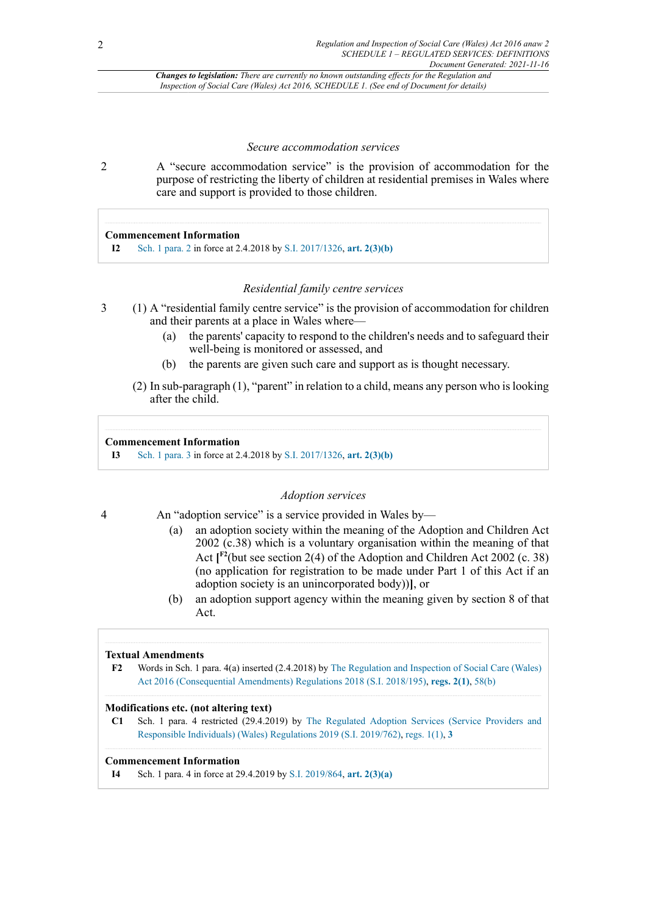#### *Secure accommodation services*

2 A "secure accommodation service" is the provision of accommodation for the purpose of restricting the liberty of children at residential premises in Wales where care and support is provided to those children.

## **Commencement Information**

**I2** Sch. 1 para. 2 in force at 2.4.2018 by S.I. 2017/1326, **art. 2(3)(b)**

## *Residential family centre services*

- 3 (1) A "residential family centre service" is the provision of accommodation for children and their parents at a place in Wales where—
	- (a) the parents' capacity to respond to the children's needs and to safeguard their well-being is monitored or assessed, and
	- (b) the parents are given such care and support as is thought necessary.
	- (2) In sub-paragraph (1), "parent" in relation to a child, means any person who is looking after the child.

#### **Commencement Information**

**I3** Sch. 1 para. 3 in force at 2.4.2018 by S.I. 2017/1326, **art. 2(3)(b)**

## *Adoption services*

- 4 An "adoption service" is a service provided in Wales by—
	- (a) an adoption society within the meaning of the Adoption and Children Act  $2002$  (c.38) which is a voluntary organisation within the meaning of that Act  $\int_{0}^{\infty}$  (but see section 2(4) of the Adoption and Children Act 2002 (c. 38) (no application for registration to be made under Part 1 of this Act if an adoption society is an unincorporated body))**]**, or
	- (b) an adoption support agency within the meaning given by section 8 of that Act.

## **Textual Amendments**

**F2** Words in Sch. 1 para. 4(a) inserted (2.4.2018) by The Regulation and Inspection of Social Care (Wales) Act 2016 (Consequential Amendments) Regulations 2018 (S.I. 2018/195), **regs. 2(1)**, 58(b)

## **Modifications etc. (not altering text)**

**C1** Sch. 1 para. 4 restricted (29.4.2019) by The Regulated Adoption Services (Service Providers and Responsible Individuals) (Wales) Regulations 2019 (S.I. 2019/762), regs. 1(1), **3**

## **Commencement Information**

**I4** Sch. 1 para. 4 in force at 29.4.2019 by S.I. 2019/864, **art. 2(3)(a)**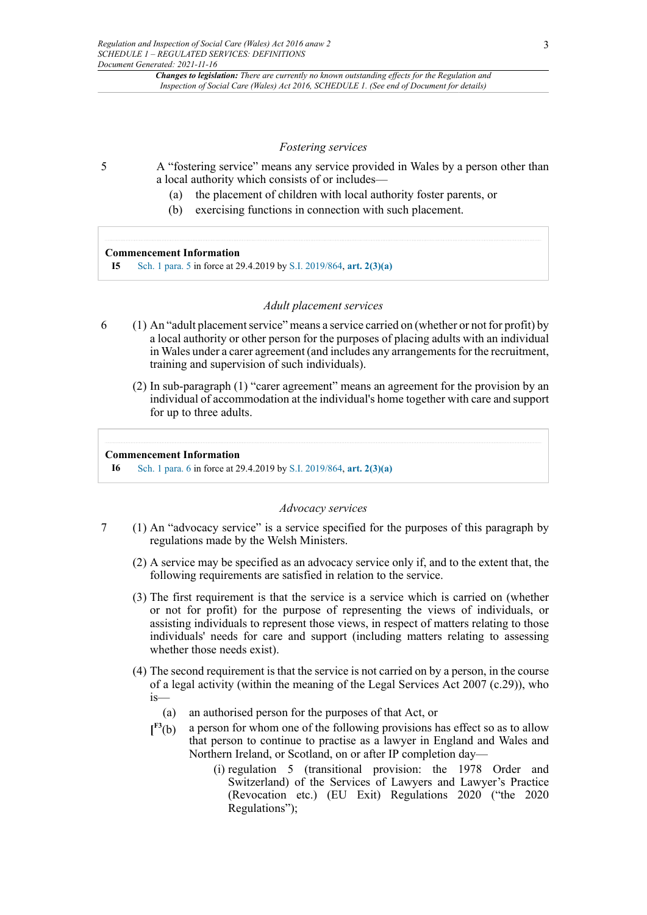#### *Fostering services*

- 5 A "fostering service" means any service provided in Wales by a person other than a local authority which consists of or includes—
	- (a) the placement of children with local authority foster parents, or
	- (b) exercising functions in connection with such placement.

#### **Commencement Information**

**I5** Sch. 1 para. 5 in force at 29.4.2019 by S.I. 2019/864, **art. 2(3)(a)**

## *Adult placement services*

- 6 (1) An "adult placement service" means a service carried on (whether or not for profit) by a local authority or other person for the purposes of placing adults with an individual in Wales under a carer agreement (and includes any arrangements for the recruitment, training and supervision of such individuals).
	- (2) In sub-paragraph (1) "carer agreement" means an agreement for the provision by an individual of accommodation at the individual's home together with care and support for up to three adults.

#### **Commencement Information**

**I6** Sch. 1 para. 6 in force at 29.4.2019 by S.I. 2019/864, **art. 2(3)(a)**

#### *Advocacy services*

- 7 (1) An "advocacy service" is a service specified for the purposes of this paragraph by regulations made by the Welsh Ministers.
	- (2) A service may be specified as an advocacy service only if, and to the extent that, the following requirements are satisfied in relation to the service.
	- (3) The first requirement is that the service is a service which is carried on (whether or not for profit) for the purpose of representing the views of individuals, or assisting individuals to represent those views, in respect of matters relating to those individuals' needs for care and support (including matters relating to assessing whether those needs exist).
	- (4) The second requirement is that the service is not carried on by a person, in the course of a legal activity (within the meaning of the Legal Services Act 2007 (c.29)), who is—
		- (a) an authorised person for the purposes of that Act, or
		- $\mathbf{I}^{\mathrm{F3}}(\mathrm{b})$ a person for whom one of the following provisions has effect so as to allow that person to continue to practise as a lawyer in England and Wales and Northern Ireland, or Scotland, on or after IP completion day—
			- (i) regulation 5 (transitional provision: the 1978 Order and Switzerland) of the Services of Lawyers and Lawyer's Practice (Revocation etc.) (EU Exit) Regulations 2020 ("the 2020 Regulations");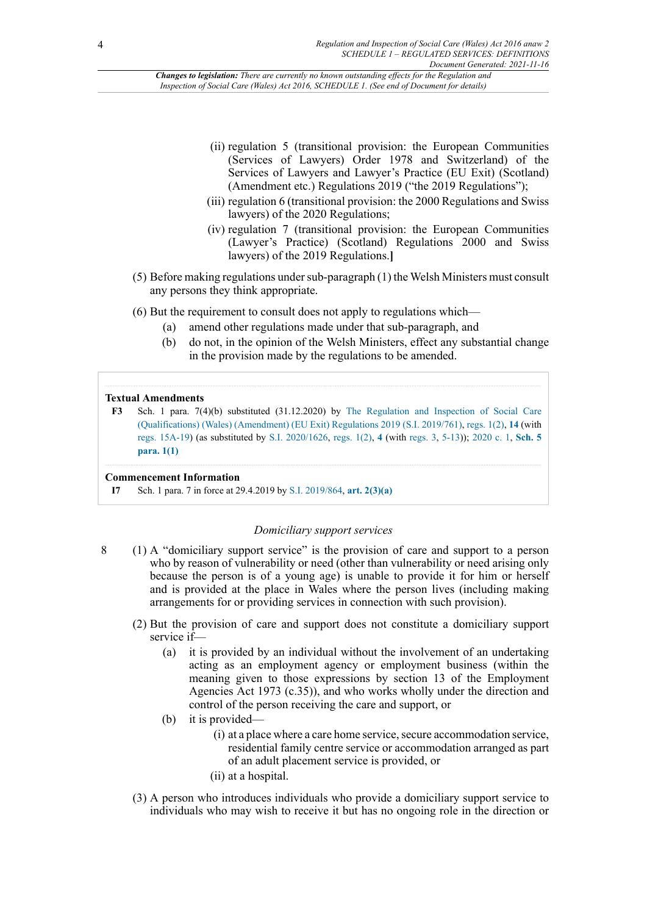- (ii) regulation 5 (transitional provision: the European Communities (Services of Lawyers) Order 1978 and Switzerland) of the Services of Lawyers and Lawyer's Practice (EU Exit) (Scotland) (Amendment etc.) Regulations 2019 ("the 2019 Regulations");
- (iii) regulation 6 (transitional provision: the 2000 Regulations and Swiss lawyers) of the 2020 Regulations;
- (iv) regulation 7 (transitional provision: the European Communities (Lawyer's Practice) (Scotland) Regulations 2000 and Swiss lawyers) of the 2019 Regulations.**]**
- (5) Before making regulations undersub-paragraph (1) the Welsh Ministers must consult any persons they think appropriate.
- (6) But the requirement to consult does not apply to regulations which—
	- (a) amend other regulations made under that sub-paragraph, and
	- (b) do not, in the opinion of the Welsh Ministers, effect any substantial change in the provision made by the regulations to be amended.

## **Textual Amendments**

**F3** Sch. 1 para. 7(4)(b) substituted (31.12.2020) by The Regulation and Inspection of Social Care (Qualifications) (Wales) (Amendment) (EU Exit) Regulations 2019 (S.I. 2019/761), regs. 1(2), **14** (with regs. 15A-19) (as substituted by S.I. 2020/1626, regs. 1(2), **4** (with regs. 3, 5-13)); 2020 c. 1, **Sch. 5 para. 1(1)**

#### **Commencement Information**

**I7** Sch. 1 para. 7 in force at 29.4.2019 by S.I. 2019/864, **art. 2(3)(a)**

## *Domiciliary support services*

- 8 (1) A "domiciliary support service" is the provision of care and support to a person who by reason of vulnerability or need (other than vulnerability or need arising only because the person is of a young age) is unable to provide it for him or herself and is provided at the place in Wales where the person lives (including making arrangements for or providing services in connection with such provision).
	- (2) But the provision of care and support does not constitute a domiciliary support service if—
		- (a) it is provided by an individual without the involvement of an undertaking acting as an employment agency or employment business (within the meaning given to those expressions by section 13 of the Employment Agencies Act 1973 (c.35)), and who works wholly under the direction and control of the person receiving the care and support, or
		- (b) it is provided-
			- (i) at a place where a care home service, secure accommodation service, residential family centre service or accommodation arranged as part of an adult placement service is provided, or
			- (ii) at a hospital.
	- (3) A person who introduces individuals who provide a domiciliary support service to individuals who may wish to receive it but has no ongoing role in the direction or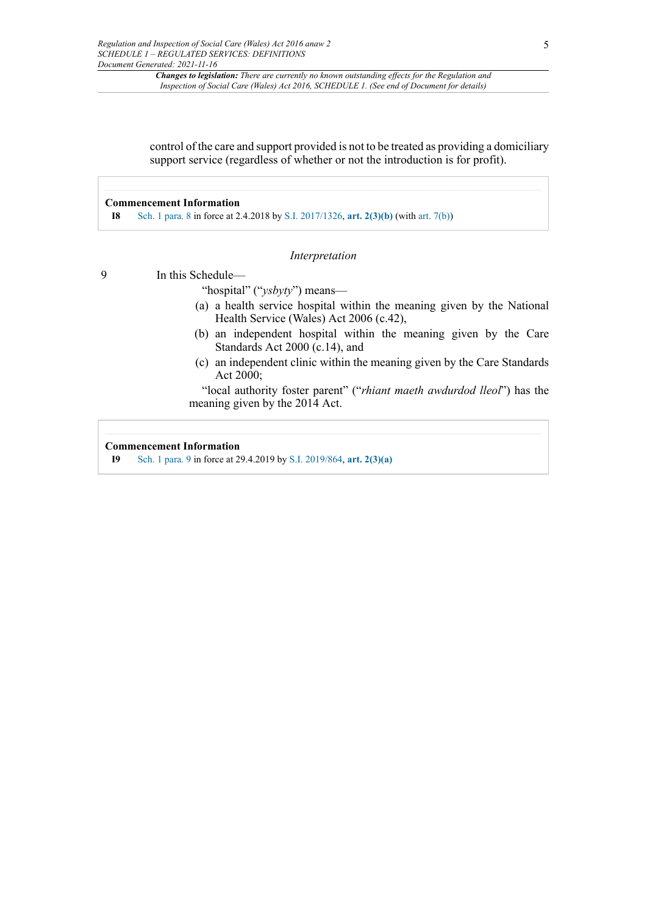control of the care and support provided is not to be treated as providing a domiciliary support service (regardless of whether or not the introduction is for profit).

## **Commencement Information**

**I8** Sch. 1 para. 8 in force at 2.4.2018 by S.I. 2017/1326, **art. 2(3)(b)** (with art. 7(b))

## *Interpretation*

9 In this Schedule—

"hospital" ("*ysbyty*") means—

- (a) a health service hospital within the meaning given by the National Health Service (Wales) Act 2006 (c.42),
- (b) an independent hospital within the meaning given by the Care Standards Act 2000 (c.14), and
- (c) an independent clinic within the meaning given by the Care Standards Act 2000;

"local authority foster parent" ("*rhiant maeth awdurdod lleol*") has the meaning given by the 2014 Act.

## **Commencement Information**

**I9** Sch. 1 para. 9 in force at 29.4.2019 by S.I. 2019/864, **art. 2(3)(a)**